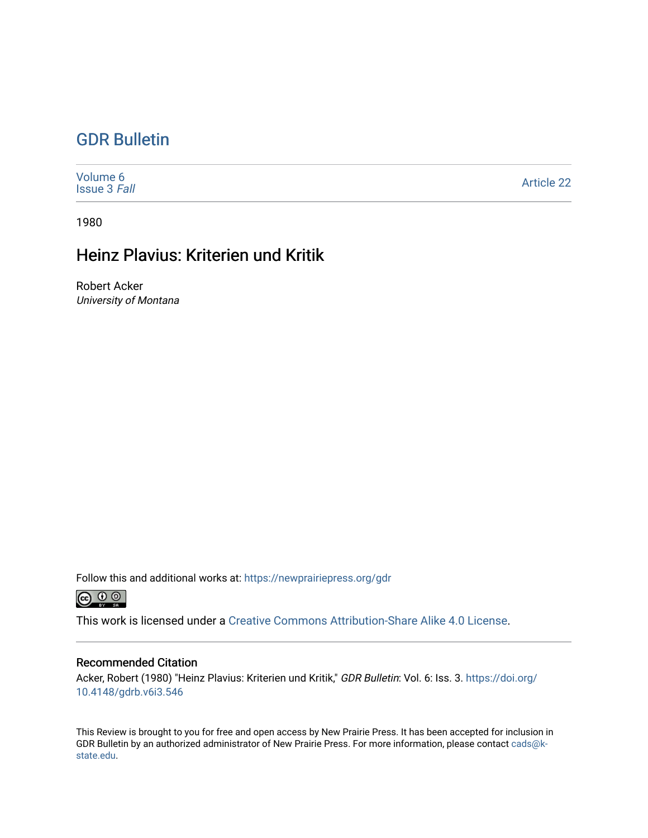## [GDR Bulletin](https://newprairiepress.org/gdr)

[Volume 6](https://newprairiepress.org/gdr/vol6) [Issue 3](https://newprairiepress.org/gdr/vol6/iss3) Fall [Article 22](https://newprairiepress.org/gdr/vol6/iss3/22) 

1980

## Heinz Plavius: Kriterien und Kritik

Robert Acker University of Montana

Follow this and additional works at: [https://newprairiepress.org/gdr](https://newprairiepress.org/gdr?utm_source=newprairiepress.org%2Fgdr%2Fvol6%2Fiss3%2F22&utm_medium=PDF&utm_campaign=PDFCoverPages) 



This work is licensed under a [Creative Commons Attribution-Share Alike 4.0 License.](https://creativecommons.org/licenses/by-sa/4.0/)

## Recommended Citation

Acker, Robert (1980) "Heinz Plavius: Kriterien und Kritik," GDR Bulletin: Vol. 6: Iss. 3. [https://doi.org/](https://doi.org/10.4148/gdrb.v6i3.546) [10.4148/gdrb.v6i3.546](https://doi.org/10.4148/gdrb.v6i3.546)

This Review is brought to you for free and open access by New Prairie Press. It has been accepted for inclusion in GDR Bulletin by an authorized administrator of New Prairie Press. For more information, please contact [cads@k](mailto:cads@k-state.edu)[state.edu](mailto:cads@k-state.edu).